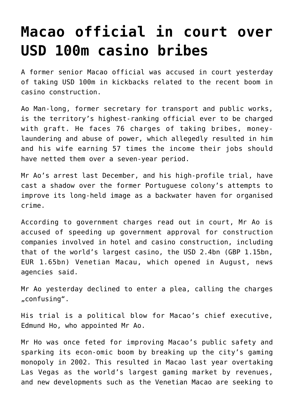## **[Macao official in court over](https://www.isa-guide.de/english-news/articles/18405.html) [USD 100m casino bribes](https://www.isa-guide.de/english-news/articles/18405.html)**

A former senior Macao official was accused in court yesterday of taking USD 100m in kickbacks related to the recent boom in casino construction.

Ao Man-long, former secretary for transport and public works, is the territory's highest-ranking official ever to be charged with graft. He faces 76 charges of taking bribes, moneylaundering and abuse of power, which allegedly resulted in him and his wife earning 57 times the income their jobs should have netted them over a seven-year period.

Mr Ao's arrest last December, and his high-profile trial, have cast a shadow over the former Portuguese colony's attempts to improve its long-held image as a backwater haven for organised crime.

According to government charges read out in court, Mr Ao is accused of speeding up government approval for construction companies involved in hotel and casino construction, including that of the world's largest casino, the USD 2.4bn (GBP 1.15bn, EUR 1.65bn) Venetian Macau, which opened in August, news agencies said.

Mr Ao yesterday declined to enter a plea, calling the charges "confusing".

His trial is a political blow for Macao's chief executive, Edmund Ho, who appointed Mr Ao.

Mr Ho was once feted for improving Macao's public safety and sparking its econ-omic boom by breaking up the city's gaming monopoly in 2002. This resulted in Macao last year overtaking Las Vegas as the world's largest gaming market by revenues, and new developments such as the Venetian Macao are seeking to